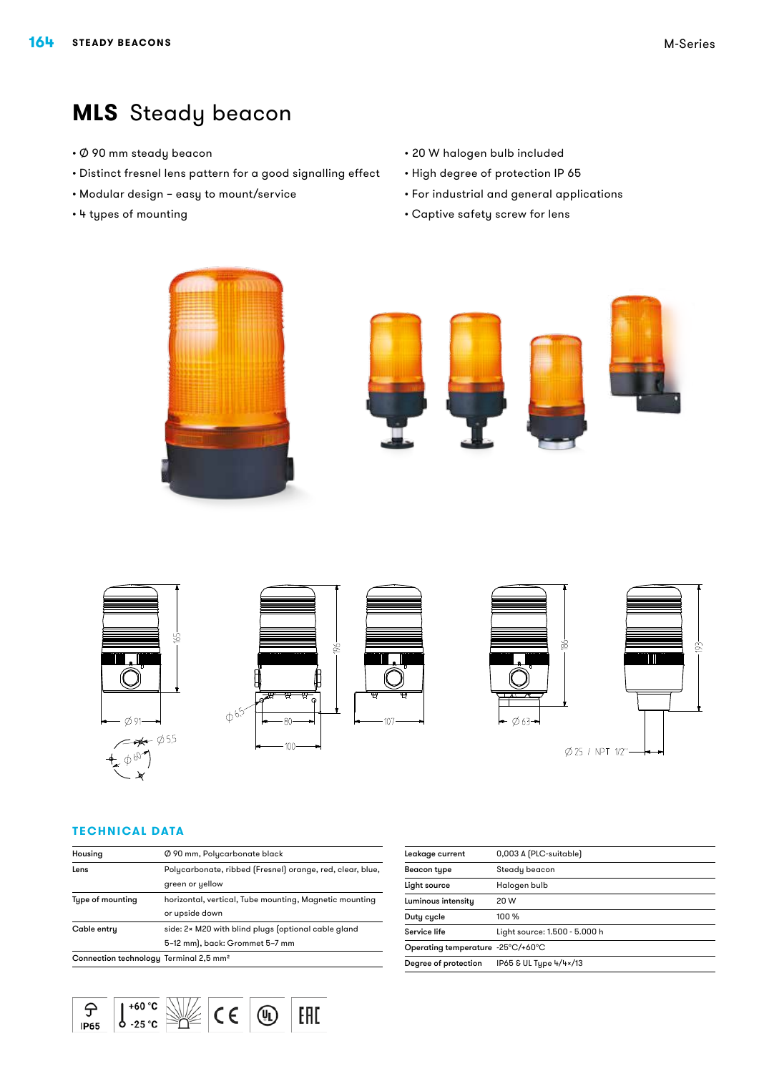# **MLS** Steady beacon

- • Ø 90 mm steady beacon
- • Distinct fresnel lens pattern for a good signalling effect
- • Modular design easy to mount/service
- • 4 types of mounting
- • 20 W halogen bulb included
- • High degree of protection IP 65
- • For industrial and general applications
- • Captive safety screw for lens





#### **Technical Data**

 $\varphi$ 

 $IP65$ 

 $\mathbb{R}$ 

| Housing                                            | Ø 90 mm, Polycarbonate black                              |
|----------------------------------------------------|-----------------------------------------------------------|
| Lens                                               | Polycarbonate, ribbed (Fresnel) orange, red, clear, blue, |
|                                                    | green or yellow                                           |
| Type of mounting                                   | horizontal, vertical, Tube mounting, Magnetic mounting    |
|                                                    | or upside down                                            |
| Cable entry                                        | side: 2x M20 with blind plugs (optional cable gland       |
|                                                    | 5-12 mm), back: Grommet 5-7 mm                            |
| Connection technology Terminal 2,5 mm <sup>2</sup> |                                                           |

 $\circledR$ 

EAD

 $\frac{1^{160 \text{°C}}}{25 \text{°C}}$ 

| Leakage current                   | 0,003 A (PLC-suitable)        |
|-----------------------------------|-------------------------------|
| Beacon type                       | Steady beacon                 |
| Light source                      | Halogen bulb                  |
| Luminous intensity                | 20 W                          |
| Duty cycle                        | 100 %                         |
| Service life                      | Light source: 1.500 - 5.000 h |
| Operating temperature -25°C/+60°C |                               |
| Degree of protection              | IP65 & UL Type 4/4×/13        |
|                                   |                               |